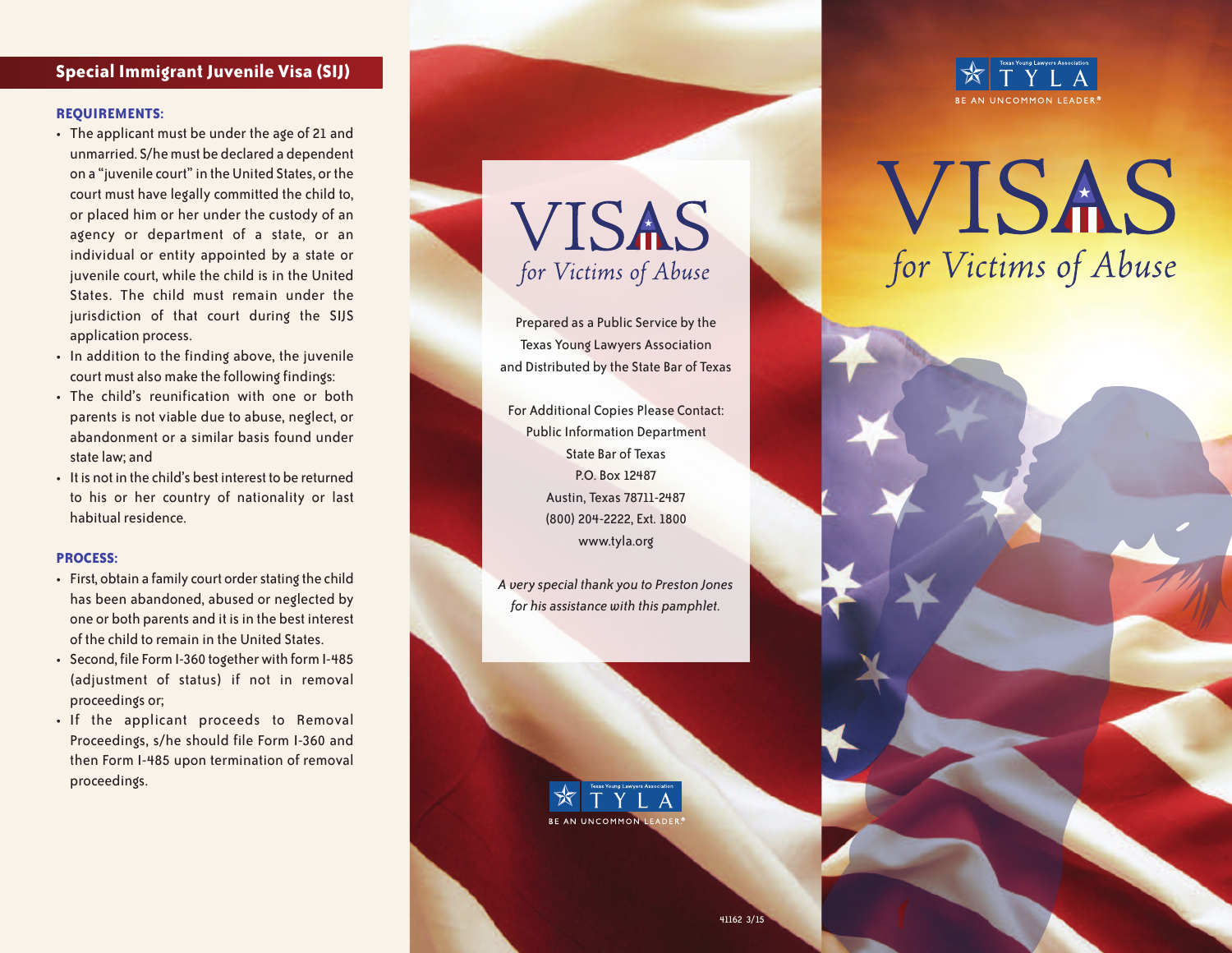## **Special Immigrant Juvenile Visa (SIJ)**

#### **REQUIREMENTS:**

- The applicant must be under the age of 21 and unmarried. S/he must be declared a dependent on a "juvenile court" in the United States, or the court must have legally committed the child to, or placed him or her under the custody of an agency or department of a state, or an individual or entity appointed by a state or juvenile court, while the child is in the United States. The child must remain under the jurisdiction of that court during the SIJS application process.
- In addition to the finding above, the juvenile court must also make the following findings:
- The child's reunification with one or both parents is not viable due to abuse, neglect, or abandonment or a similar basis found under state law; and
- It is not in the child's best interest to be returned to his or her country of nationality or last habitual residence.

#### **PROCESS:**

- First, obtain a family court order stating the child has been abandoned, abused or neglected by one or both parents and it is in the best interest of the child to remain in the United States.
- Second, file Form I-360 together with form I-485 (adjustment of status) if not in removal proceedings or;
- If the applicant proceeds to Removal Proceedings, s/he should file Form I-360 and then Form I-485 upon termination of removal proceedings.

**VISAS** for Victims of Abuse

Prepared as a Public Service by the Texas Young Lawyers Association and Distributed by the State Bar of Texas

For Additional Copies Please Contact: Public Information Department State Bar of Texas P.O. Box 12487 Austin, Texas 78711-2487 (800) 204-2222, Ext. 1800 www.tyla.org

*A very special thank you to Preston Jones for his assistance with this pamphlet.*





# VISAS for Victims of Abuse